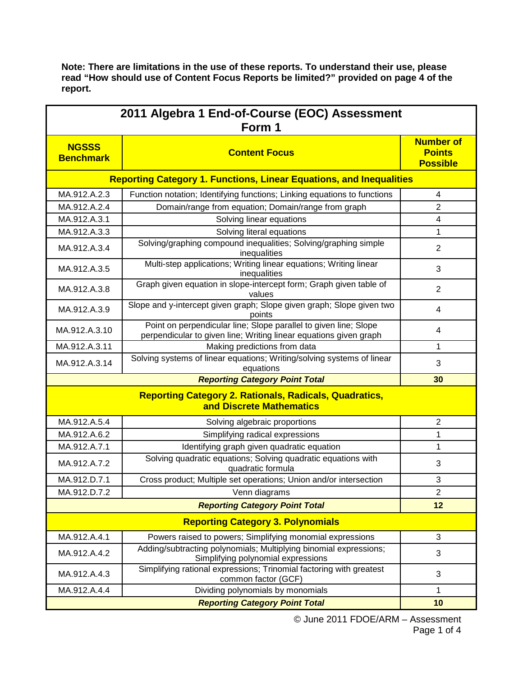**Note: There are limitations in the use of these reports. To understand their use, please read "How should use of Content Focus Reports be limited?" provided on page 4 of the report.**

| 2011 Algebra 1 End-of-Course (EOC) Assessment<br>Form 1                                   |                                                                                                                                       |                                                      |  |  |
|-------------------------------------------------------------------------------------------|---------------------------------------------------------------------------------------------------------------------------------------|------------------------------------------------------|--|--|
| <b>NGSSS</b><br><b>Benchmark</b>                                                          | <b>Content Focus</b>                                                                                                                  | <b>Number of</b><br><b>Points</b><br><b>Possible</b> |  |  |
| <b>Reporting Category 1. Functions, Linear Equations, and Inequalities</b>                |                                                                                                                                       |                                                      |  |  |
| MA.912.A.2.3                                                                              | Function notation; Identifying functions; Linking equations to functions                                                              | 4                                                    |  |  |
| MA.912.A.2.4                                                                              | Domain/range from equation; Domain/range from graph                                                                                   | $\overline{2}$                                       |  |  |
| MA.912.A.3.1                                                                              | Solving linear equations                                                                                                              | 4                                                    |  |  |
| MA.912.A.3.3                                                                              | Solving literal equations                                                                                                             | 1                                                    |  |  |
| MA.912.A.3.4                                                                              | Solving/graphing compound inequalities; Solving/graphing simple<br>inequalities                                                       | $\overline{2}$                                       |  |  |
| MA.912.A.3.5                                                                              | Multi-step applications; Writing linear equations; Writing linear<br>inequalities                                                     | 3                                                    |  |  |
| MA.912.A.3.8                                                                              | Graph given equation in slope-intercept form; Graph given table of<br>values                                                          | $\overline{2}$                                       |  |  |
| MA.912.A.3.9                                                                              | Slope and y-intercept given graph; Slope given graph; Slope given two<br>points                                                       | 4                                                    |  |  |
| MA.912.A.3.10                                                                             | Point on perpendicular line; Slope parallel to given line; Slope<br>perpendicular to given line; Writing linear equations given graph | 4                                                    |  |  |
| MA.912.A.3.11                                                                             | Making predictions from data                                                                                                          | 1                                                    |  |  |
| MA.912.A.3.14                                                                             | Solving systems of linear equations; Writing/solving systems of linear<br>equations                                                   | 3                                                    |  |  |
|                                                                                           | 30                                                                                                                                    |                                                      |  |  |
| <b>Reporting Category 2. Rationals, Radicals, Quadratics,</b><br>and Discrete Mathematics |                                                                                                                                       |                                                      |  |  |
| MA.912.A.5.4                                                                              | Solving algebraic proportions                                                                                                         | 2                                                    |  |  |
| MA.912.A.6.2                                                                              | Simplifying radical expressions                                                                                                       | 1                                                    |  |  |
| MA.912.A.7.1                                                                              | Identifying graph given quadratic equation                                                                                            | 1                                                    |  |  |
| MA.912.A.7.2                                                                              | Solving quadratic equations; Solving quadratic equations with<br>quadratic formula                                                    | 3                                                    |  |  |
| MA.912.D.7.1                                                                              | Cross product; Multiple set operations; Union and/or intersection                                                                     | 3                                                    |  |  |
| MA.912.D.7.2                                                                              | Venn diagrams                                                                                                                         | $\overline{2}$                                       |  |  |
|                                                                                           | <b>Reporting Category Point Total</b>                                                                                                 | 12                                                   |  |  |
| <b>Reporting Category 3. Polynomials</b>                                                  |                                                                                                                                       |                                                      |  |  |
| MA.912.A.4.1                                                                              | Powers raised to powers; Simplifying monomial expressions                                                                             | 3                                                    |  |  |
| MA.912.A.4.2                                                                              | Adding/subtracting polynomials; Multiplying binomial expressions;<br>Simplifying polynomial expressions                               | 3                                                    |  |  |
| MA.912.A.4.3                                                                              | Simplifying rational expressions; Trinomial factoring with greatest<br>common factor (GCF)                                            | 3                                                    |  |  |
| MA.912.A.4.4                                                                              | Dividing polynomials by monomials                                                                                                     | 1                                                    |  |  |
|                                                                                           | 10                                                                                                                                    |                                                      |  |  |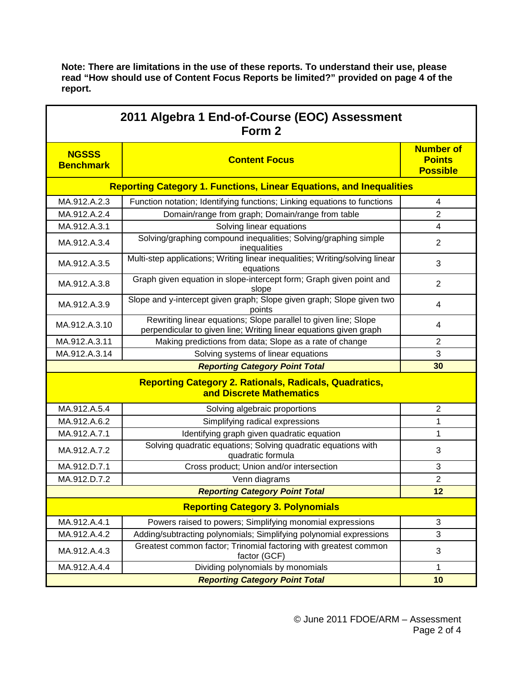**Note: There are limitations in the use of these reports. To understand their use, please read "How should use of Content Focus Reports be limited?" provided on page 4 of the report.**

| 2011 Algebra 1 End-of-Course (EOC) Assessment<br>Form 2                                   |                                                                                                                                      |                                                      |  |  |
|-------------------------------------------------------------------------------------------|--------------------------------------------------------------------------------------------------------------------------------------|------------------------------------------------------|--|--|
| <b>NGSSS</b><br><b>Benchmark</b>                                                          | <b>Content Focus</b>                                                                                                                 | <b>Number of</b><br><b>Points</b><br><b>Possible</b> |  |  |
| <b>Reporting Category 1. Functions, Linear Equations, and Inequalities</b>                |                                                                                                                                      |                                                      |  |  |
| MA.912.A.2.3                                                                              | Function notation; Identifying functions; Linking equations to functions                                                             | $\overline{4}$                                       |  |  |
| MA.912.A.2.4                                                                              | Domain/range from graph; Domain/range from table                                                                                     | $\overline{2}$                                       |  |  |
| MA.912.A.3.1                                                                              | Solving linear equations                                                                                                             | $\overline{\mathbf{4}}$                              |  |  |
| MA.912.A.3.4                                                                              | Solving/graphing compound inequalities; Solving/graphing simple<br>inequalities                                                      | $\overline{2}$                                       |  |  |
| MA.912.A.3.5                                                                              | Multi-step applications; Writing linear inequalities; Writing/solving linear<br>equations                                            | 3                                                    |  |  |
| MA.912.A.3.8                                                                              | Graph given equation in slope-intercept form; Graph given point and<br>slope                                                         | $\overline{2}$                                       |  |  |
| MA.912.A.3.9                                                                              | Slope and y-intercept given graph; Slope given graph; Slope given two<br>points                                                      | 4                                                    |  |  |
| MA.912.A.3.10                                                                             | Rewriting linear equations; Slope parallel to given line; Slope<br>perpendicular to given line; Writing linear equations given graph | 4                                                    |  |  |
| MA.912.A.3.11                                                                             | Making predictions from data; Slope as a rate of change                                                                              | $\overline{2}$                                       |  |  |
| MA.912.A.3.14                                                                             | Solving systems of linear equations                                                                                                  | 3                                                    |  |  |
| <b>Reporting Category Point Total</b>                                                     |                                                                                                                                      | 30                                                   |  |  |
| <b>Reporting Category 2. Rationals, Radicals, Quadratics,</b><br>and Discrete Mathematics |                                                                                                                                      |                                                      |  |  |
| MA.912.A.5.4                                                                              | Solving algebraic proportions                                                                                                        | $\sqrt{2}$                                           |  |  |
| MA.912.A.6.2                                                                              | Simplifying radical expressions                                                                                                      | 1                                                    |  |  |
| MA.912.A.7.1                                                                              | Identifying graph given quadratic equation                                                                                           | 1                                                    |  |  |
| MA.912.A.7.2                                                                              | Solving quadratic equations; Solving quadratic equations with<br>quadratic formula                                                   | 3                                                    |  |  |
| MA.912.D.7.1                                                                              | Cross product; Union and/or intersection                                                                                             | 3                                                    |  |  |
| MA.912.D.7.2                                                                              | Venn diagrams<br><b>Reporting Category Point Total</b>                                                                               | 2                                                    |  |  |
|                                                                                           | 12                                                                                                                                   |                                                      |  |  |
|                                                                                           | <b>Reporting Category 3. Polynomials</b>                                                                                             |                                                      |  |  |
| MA.912.A.4.1                                                                              | Powers raised to powers; Simplifying monomial expressions                                                                            | $\mathfrak{S}$                                       |  |  |
| MA.912.A.4.2                                                                              | Adding/subtracting polynomials; Simplifying polynomial expressions                                                                   | $\mathbf{3}$                                         |  |  |
| MA.912.A.4.3                                                                              | Greatest common factor; Trinomial factoring with greatest common<br>factor (GCF)                                                     | 3                                                    |  |  |
| MA.912.A.4.4                                                                              | Dividing polynomials by monomials                                                                                                    | 1                                                    |  |  |
|                                                                                           | <b>Reporting Category Point Total</b>                                                                                                | 10                                                   |  |  |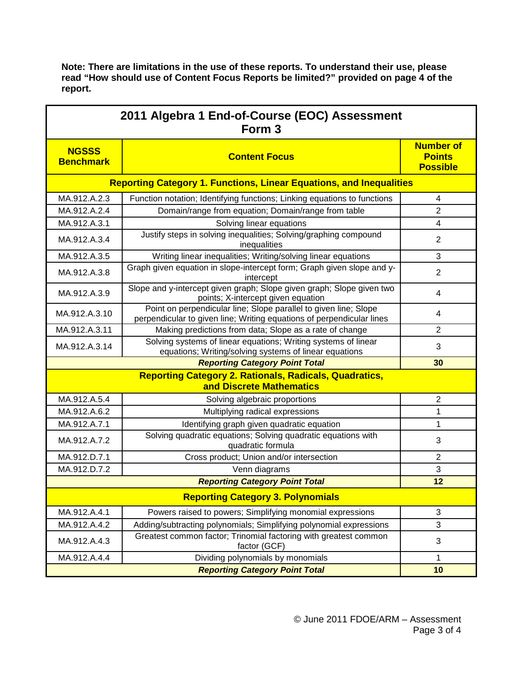**Note: There are limitations in the use of these reports. To understand their use, please read "How should use of Content Focus Reports be limited?" provided on page 4 of the report.**

| 2011 Algebra 1 End-of-Course (EOC) Assessment<br>Form <sub>3</sub>                        |                                                                                                                                           |                                                      |  |  |
|-------------------------------------------------------------------------------------------|-------------------------------------------------------------------------------------------------------------------------------------------|------------------------------------------------------|--|--|
| <b>NGSSS</b><br><b>Benchmark</b>                                                          | <b>Content Focus</b>                                                                                                                      | <b>Number of</b><br><b>Points</b><br><b>Possible</b> |  |  |
| <b>Reporting Category 1. Functions, Linear Equations, and Inequalities</b>                |                                                                                                                                           |                                                      |  |  |
| MA.912.A.2.3                                                                              | Function notation; Identifying functions; Linking equations to functions                                                                  | 4                                                    |  |  |
| MA.912.A.2.4                                                                              | Domain/range from equation; Domain/range from table                                                                                       | 2                                                    |  |  |
| MA.912.A.3.1                                                                              | Solving linear equations                                                                                                                  | 4                                                    |  |  |
| MA.912.A.3.4                                                                              | Justify steps in solving inequalities; Solving/graphing compound<br>inequalities                                                          | $\overline{2}$                                       |  |  |
| MA.912.A.3.5                                                                              | Writing linear inequalities; Writing/solving linear equations                                                                             | 3                                                    |  |  |
| MA.912.A.3.8                                                                              | Graph given equation in slope-intercept form; Graph given slope and y-<br>intercept                                                       | $\overline{2}$                                       |  |  |
| MA.912.A.3.9                                                                              | Slope and y-intercept given graph; Slope given graph; Slope given two<br>points; X-intercept given equation                               | 4                                                    |  |  |
| MA.912.A.3.10                                                                             | Point on perpendicular line; Slope parallel to given line; Slope<br>perpendicular to given line; Writing equations of perpendicular lines | 4                                                    |  |  |
| MA.912.A.3.11                                                                             | Making predictions from data; Slope as a rate of change                                                                                   | $\overline{2}$                                       |  |  |
| MA.912.A.3.14                                                                             | Solving systems of linear equations; Writing systems of linear<br>equations; Writing/solving systems of linear equations                  | 3                                                    |  |  |
| <b>Reporting Category Point Total</b>                                                     |                                                                                                                                           | 30                                                   |  |  |
| <b>Reporting Category 2. Rationals, Radicals, Quadratics,</b><br>and Discrete Mathematics |                                                                                                                                           |                                                      |  |  |
| MA.912.A.5.4                                                                              | Solving algebraic proportions                                                                                                             | $\overline{2}$                                       |  |  |
| MA.912.A.6.2                                                                              | Multiplying radical expressions                                                                                                           | 1                                                    |  |  |
| MA.912.A.7.1                                                                              | Identifying graph given quadratic equation                                                                                                | 1                                                    |  |  |
| MA.912.A.7.2                                                                              | Solving quadratic equations; Solving quadratic equations with<br>quadratic formula                                                        | 3                                                    |  |  |
| MA.912.D.7.1                                                                              | Cross product; Union and/or intersection                                                                                                  | $\overline{2}$                                       |  |  |
| MA.912.D.7.2                                                                              | Venn diagrams                                                                                                                             | 3                                                    |  |  |
| <b>Reporting Category Point Total</b>                                                     |                                                                                                                                           | 12                                                   |  |  |
| <b>Reporting Category 3. Polynomials</b>                                                  |                                                                                                                                           |                                                      |  |  |
| MA.912.A.4.1                                                                              | Powers raised to powers; Simplifying monomial expressions                                                                                 | 3                                                    |  |  |
| MA.912.A.4.2                                                                              | Adding/subtracting polynomials; Simplifying polynomial expressions                                                                        | 3                                                    |  |  |
| MA.912.A.4.3                                                                              | Greatest common factor; Trinomial factoring with greatest common<br>factor (GCF)                                                          | 3                                                    |  |  |
| MA.912.A.4.4                                                                              | Dividing polynomials by monomials<br><b>Reporting Category Point Total</b>                                                                | 1                                                    |  |  |
|                                                                                           | 10                                                                                                                                        |                                                      |  |  |